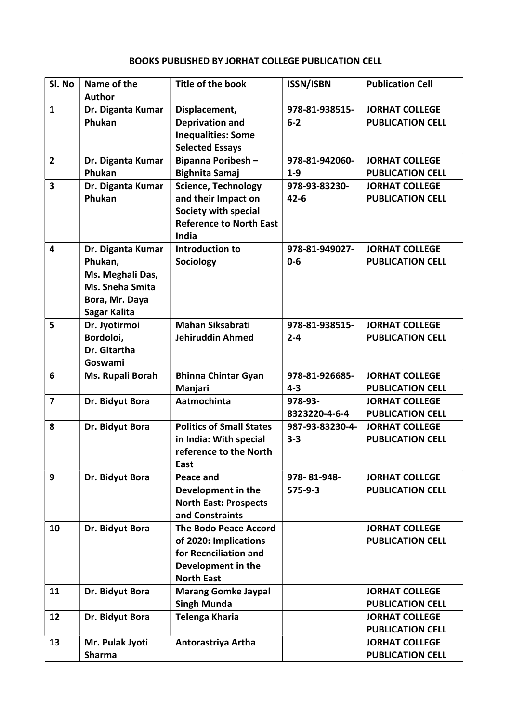## BOOKS PUBLISHED BY JORHAT COLLEGE PUBLICATION CELL

| Sl. No                  | Name of the<br><b>Author</b>                                                                          | <b>Title of the book</b>                                                                                                  | <b>ISSN/ISBN</b>             | <b>Publication Cell</b>                          |
|-------------------------|-------------------------------------------------------------------------------------------------------|---------------------------------------------------------------------------------------------------------------------------|------------------------------|--------------------------------------------------|
| $\mathbf{1}$            | Dr. Diganta Kumar<br>Phukan                                                                           | Displacement,<br><b>Deprivation and</b><br><b>Inequalities: Some</b><br><b>Selected Essays</b>                            | 978-81-938515-<br>$6-2$      | <b>JORHAT COLLEGE</b><br><b>PUBLICATION CELL</b> |
| $\overline{2}$          | Dr. Diganta Kumar<br>Phukan                                                                           | <b>Bipanna Poribesh-</b><br><b>Bighnita Samaj</b>                                                                         | 978-81-942060-<br>$1 - 9$    | <b>JORHAT COLLEGE</b><br><b>PUBLICATION CELL</b> |
| $\overline{\mathbf{3}}$ | Dr. Diganta Kumar<br>Phukan                                                                           | <b>Science, Technology</b><br>and their Impact on<br>Society with special<br><b>Reference to North East</b><br>India      | 978-93-83230-<br>$42 - 6$    | <b>JORHAT COLLEGE</b><br><b>PUBLICATION CELL</b> |
| 4                       | Dr. Diganta Kumar<br>Phukan,<br>Ms. Meghali Das,<br>Ms. Sneha Smita<br>Bora, Mr. Daya<br>Sagar Kalita | Introduction to<br>Sociology                                                                                              | 978-81-949027-<br>$0 - 6$    | <b>JORHAT COLLEGE</b><br><b>PUBLICATION CELL</b> |
| 5                       | Dr. Jyotirmoi<br>Bordoloi,<br>Dr. Gitartha<br>Goswami                                                 | <b>Mahan Siksabrati</b><br><b>Jehiruddin Ahmed</b>                                                                        | 978-81-938515-<br>$2 - 4$    | <b>JORHAT COLLEGE</b><br><b>PUBLICATION CELL</b> |
| 6                       | Ms. Rupali Borah                                                                                      | <b>Bhinna Chintar Gyan</b><br>Manjari                                                                                     | 978-81-926685-<br>$4 - 3$    | <b>JORHAT COLLEGE</b><br><b>PUBLICATION CELL</b> |
| $\overline{7}$          | Dr. Bidyut Bora                                                                                       | Aatmochinta                                                                                                               | 978-93-<br>8323220-4-6-4     | <b>JORHAT COLLEGE</b><br><b>PUBLICATION CELL</b> |
| 8                       | Dr. Bidyut Bora                                                                                       | <b>Politics of Small States</b><br>in India: With special<br>reference to the North<br>East                               | 987-93-83230-4-<br>$3 - 3$   | <b>JORHAT COLLEGE</b><br><b>PUBLICATION CELL</b> |
| 9                       | Dr. Bidyut Bora                                                                                       | Peace and<br>Development in the<br><b>North East: Prospects</b><br>and Constraints                                        | 978-81-948-<br>$575 - 9 - 3$ | <b>JORHAT COLLEGE</b><br><b>PUBLICATION CELL</b> |
| 10                      | Dr. Bidyut Bora                                                                                       | <b>The Bodo Peace Accord</b><br>of 2020: Implications<br>for Recnciliation and<br>Development in the<br><b>North East</b> |                              | <b>JORHAT COLLEGE</b><br><b>PUBLICATION CELL</b> |
| 11                      | Dr. Bidyut Bora                                                                                       | <b>Marang Gomke Jaypal</b><br><b>Singh Munda</b>                                                                          |                              | <b>JORHAT COLLEGE</b><br><b>PUBLICATION CELL</b> |
| 12                      | Dr. Bidyut Bora                                                                                       | <b>Telenga Kharia</b>                                                                                                     |                              | <b>JORHAT COLLEGE</b><br><b>PUBLICATION CELL</b> |
| 13                      | Mr. Pulak Jyoti<br><b>Sharma</b>                                                                      | Antorastriya Artha                                                                                                        |                              | <b>JORHAT COLLEGE</b><br><b>PUBLICATION CELL</b> |